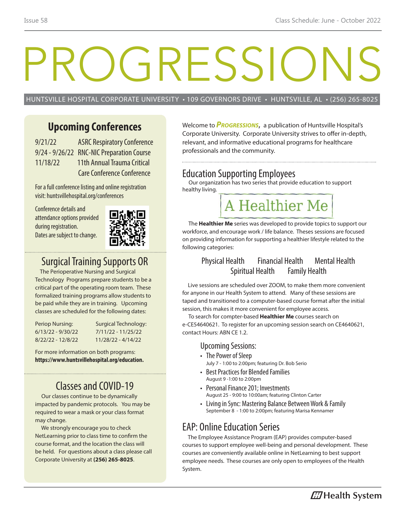# ROGRESSION

HUNTSVILLE HOSPITAL CORPORATE UNIVERSITY • 109 GOVERNORS DRIVE • HUNTSVILLE, AL • (256) 265-8025

### **Upcoming Conferences**

9/21/22 ASRC Respiratory Conference 9/24 - 9/26/22 RNC-NIC Preparation Course 11/18/22 11th Annual Trauma Critical Care Conference Conference

For a full conference listing and online registration visit: huntsvillehospital.org/conferences

Conference details and attendance options provided during registration. Dates are subject to change.



### Surgical Training Supports OR

 The Perioperative Nursing and Surgical Technology Programs prepare students to be a critical part of the operating room team. These formalized training programs allow students to be paid while they are in training. Upcoming classes are scheduled for the following dates:

| Periop Nursing:     | Surgical Technology: |
|---------------------|----------------------|
| $6/13/22 - 9/30/22$ | $7/11/22 - 11/25/22$ |
| $8/22/22 - 12/8/22$ | 11/28/22 - 4/14/22   |

For more information on both programs: **https://www.huntsvillehospital.org/education.**

### Classes and COVID-19

 Our classes continue to be dynamically impacted by pandemic protocols. You may be required to wear a mask or your class format may change.

 We strongly encourage you to check NetLearning prior to class time to confirm the course format, and the location the class will be held. For questions about a class please call Corporate University at **(256) 265-8025**.

Welcome to **PROGRESSIONS**, a publication of Huntsville Hospital's Corporate University. Corporate University strives to offer in-depth, relevant, and informative educational programs for healthcare professionals and the community.

### Education Supporting Employees

 Our organization has two series that provide education to support healthy living.

A Healthier Me

 The **Healthier Me** series was developed to provide topics to support our workforce, and encourage work / life balance. Theses sessions are focused on providing information for supporting a healthier lifestyle related to the following categories:

#### Physical Health Financial Health Mental Health Spiritual Health Family Health

 Live sessions are scheduled over ZOOM, to make them more convenient for anyone in our Health System to attend. Many of these sessions are taped and transitioned to a computer-based course format after the initial session, this makes it more convenient for employee access.

 To search for compter-based **Healthier Me** courses search on e-CE54640621. To register for an upcoming session search on CE4640621, contact Hours: ABN CE 1.2.

#### Upcoming Sessions:

- The Power of Sleep July 7 - 1:00 to 2:00pm; featuring Dr. Bob Serio
- Best Practices for Blended Families August 9 -1:00 to 2:00pm
- Personal Finance 201; Investments August 25 - 9:00 to 10:00am; featuring Clinton Carter
- Living in Sync: Mastering Balance Between Work & Family September 8 - 1:00 to 2:00pm; featuring Marisa Kennamer

### EAP: Online Education Series

 The Employee Assistance Program (EAP) provides computer-based courses to support employee well-being and personal development. These courses are conveniently available online in NetLearning to best support employee needs. These courses are only open to employees of the Health System.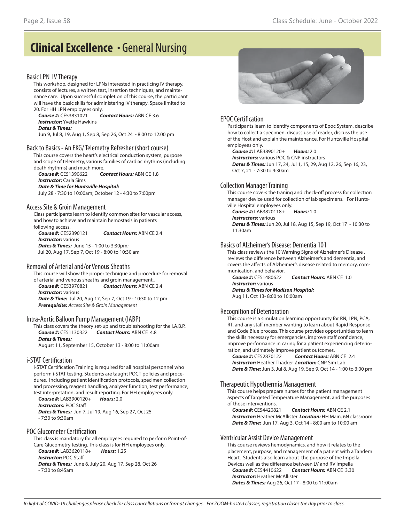### **Clinical Excellence · General Nursing**

#### Basic LPN IV Therapy

This workshop, designed for LPNs interested in practicing IV therapy, consists of lectures, a written test, insertion techniques, and maintenance care. Upon successful completion of this course, the participant will have the basic skills for administering IV therapy. Space limited to 20. For HH LPN employees only.<br>**Course #:** CE53831021 **C** 

**Contact Hours: ABN CE 3.6 Instructor:** Yvette Hawkins **Dates & Times:**  Jun 9, Jul 8, 19, Aug 1, Sep 8, Sep 26, Oct 24 - 8:00 to 12:00 pm

#### Back to Basics - An EKG/ Telemetry Refresher (short course)

This course covers the heart's electrical conduction system, purpose and scope of telemetry, various families of cardiac rhythms (including death rhythms) and much more.

**Course #:** CE51390622 **Contact Hours:** ABN CE 1.8 **Instructor:** Carla Sims **Date & Time for Huntsville Hospital:**

July 28 - 7:30 to 10:00am; October 12 - 4:30 to 7:00pm

#### Access Site & Groin Management

Class participants learn to identify common sites for vascular access, and how to achieve and maintain hemostasis in patients

following access. **Course #:** CE52390121 **Contact Hours:** ABN CE 2.4 **Instructor:** various **Dates & Times:** June 15 - 1:00 to 3:30pm; Jul 20, Aug 17, Sep 7, Oct 19 - 8:00 to 10:30 am

#### Removal of Arterial and/or Venous Sheaths

This course will show the proper technique and procedure for removal of arterial and venous sheaths and groin management..

**Course #:** CE53970821 **Contact Hours:** ABN CE 2.4 **Instructor:** various **Date & Time:** Jul 20, Aug 17, Sep 7, Oct 19 - 10:30 to 12 pm

**Prerequisite:** Access Site & Groin Management

#### Intra-Aortic Balloon Pump Management (IABP)

This class covers the theory set-up and troubleshooting for the I.A.B.P.. **Course #:** CE51130322 **Contact Hours:** ABN CE 4.8 **Dates & Times:**

August 11, September 15, October 13 - 8:00 to 11:00am

#### i-STAT Certification

i-STAT Certification Training is required for all hospital personnel who perform i-STAT testing. Students are taught POCT policies and procedures, including patient identification protocols, specimen collection and processing, reagent handling, analyzer function, test performance, test interpretation, and result reporting. For HH employees only.

**Course #:** LAB3900120+ **Hours:** 2.0 **Instructors:** POC Staff **Dates & Times:** Jun 7, Jul 19, Aug 16, Sep 27, Oct 25 - 7:30 to 9:30am

#### POC Glucometer Certification

This class is mandatory for all employees required to perform Point-of-Care Glucometry testing. This class is for HH employees only. **Course #:** LAB3620118+ **Hours:** 1.25 **Instructor:** POC Staff **Dates & Times:** June 6, July 20, Aug 17, Sep 28, Oct 26 - 7:30 to 8:45am



#### **EPOC Certification**

Participants learn to identify components of Epoc System, describe how to collect a specimen, discuss use of reader, discuss the use of the Host and explain the maintenance. For Huntsville Hospital employees only.

**Course #:** LAB3890120+ **Hours:** 2.0

**Instructors:** various POC & CNP instructors

**Dates & Times:** Jun 17, 24, Jul 1, 15, 29, Aug 12, 26, Sep 16, 23, Oct 7, 21 - 7:30 to 9:30am

#### Collection Manager Training

This course covers the traning and check-off process for collection manager device used for collection of lab specimens. For Huntsville Hospital employees only.

**Course #:** LAB3820118+ **Hours:** 1.0

**Instructors:** various

**Dates & Times:** Jun 20, Jul 18, Aug 15, Sep 19, Oct 17 - 10:30 to 11:30am

#### Basics of Alzheimer's Disease: Dementia 101

This class reviews the 10 Warning Signs of Alzheimer's Disease , reviews the difference between Alzheimer's and dementia, and covers the affects of Alzheimer's disease related to memory, communication, and behavior.

**Course #:** CE51480622 **Contact Hours:** ABN CE 1.0 **Instructor:** various **Dates & Times for Madison Hospital:**  Aug 11, Oct 13- 8:00 to 10:00am

#### Recognition of Deterioration

This course is a simulation learning opportunity for RN, LPN, PCA, RT, and any staff member wanting to learn about Rapid Response and Code Blue process. This course provides opportunities to learn the skills necessary for emergencies, improve staff confidence, improve performance in caring for a patient experiencing deterioration, and ultimately improve patient outcomes.

**Course #:** CE52870122 **Contact Hours:** ABN CE 2.4 **Instructor:** Heather Thacker **Location:** CNP Sim Lab **Date & Time:** Jun 3, Jul 8, Aug 19, Sep 9, Oct 14 - 1:00 to 3:00 pm

#### Therapeutic Hypothermia Management

This course helps prepare nurses for the patient management aspects of Targeted Temperature Management, and the purposes of those interventions.

**Course #:** CE54420821 **Contact Hours:** ABN CE 2.1 **Instructor:** Heather McAllister **Location:** HH Main, 6N classroom **Date & Time:** Jun 17, Aug 3, Oct 14 - 8:00 am to 10:00 am

#### Ventricular Assist Device Management

This course reviews hemodynamics, and how it relates to the placement, purpose, and management of a patient with a Tandem Heart. Students also learn about the purpose of the Impella Devices well as the difference between LV and RV Impella **Course #:** CE54410622 **Contact Hours:** ABN CE 3.30 **Instructor:** Heather McAllister **Dates & Times:** Aug 26, Oct 17 - 8:00 to 11:00am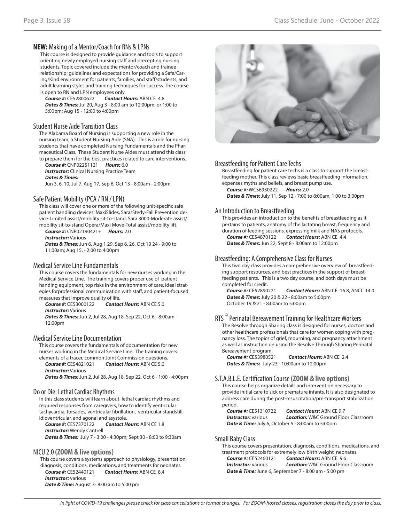#### **NEW:** Making of a Mentor/Coach for RNs & LPNs

This course is designed to provide guidance and tools to support orienting newly employed nursing staff and precepting nursing students. Topic covered include the mentor/coach and trainee relationship; guidelines and expectations for providing a Safe/Caring/Kind environment for patients, families, and staff/students; and adult learning styles and training techniques for success. The course is open to RN and LPN employees only.

**Course #:** CE52800622 **Contact Hours:** ABN CE 4.8 **Dates & Times:** Jul 20, Aug 3 - 8:00 am to 12:00pm; or 1:00 to 5:00pm; Aug 15 - 12;00 to 4:00pm

#### Student Nurse Aide Transition Class

The Alabama Board of Nursing is supporting a new role in the nursing team, a Student Nursing Aide (SNA). This is a role for nursing students that have completed Nursing Fundamentals and the Pharmaceutical Class. These Student Nurse Aides must attend this class to prepare them for the best practices related to care interventions.

**Course #:** CNP02251121 **Hours:** 6.0 **Instructor:** Clinical Nursing Practice Team

#### **Dates & Times:**

Jun 3, 6, 10, Jul 7, Aug 17, Sep 6, Oct 13 - 8:00am - 2:00pm

#### Safe Patient Mobility (PCA / RN / LPN)

This class will cover one or more of the following unit-specific safe patient handling devices: MaxiSlides, Sara/Stedy-Fall Prevention device-Limited assist/mobility sit-to-stand, Sara 3000-Moderate assist/ mobility sit-to-stand Opera/Maxi Move-Total assist/mobility lift.

**Course #:** CNP02190421+ **Hours:** 2.0 **Instructor:** Various

**Dates & Times:** Jun 6, Aug 1 29, Sep 6, 26, Oct 10 24 - 9:00 to 11:00am; Aug 15, - 2:00 to 4:00pm

#### Medical Service Line Fundamentals

This course covers the fundamentals for new nurses working in the Medical Service Line. The training covers proper use of patient handing equipment, top risks in the environment of care, ideal strategies forprofessional communication with staff, and patient-focused measures that improve quality of life.

**Course #:** CE53000122 **Contact Hours:** ABN CE 5.0 **Instructor:** Various

**Dates & Times:** Jun 2, Jul 28, Aug 18, Sep 22, Oct 6 - 8:00am - 12:00pm

#### Medical Service Line Documentation

This course covers the fundamentals of documentation for new nurses working in the Medical Service Line. The training covers: elements of a tracer, common Joint Commission questions.

**Course #:** CE54821021 **Contact Hours:** ABN CE 5.0 **Instructor:** Various

**Dates & Times:** Jun 2, Jul 28, Aug 18, Sep 22, Oct 6 - 1:00 - 4:00pm

#### Do or Die: Lethal Cardiac Rhythms

In this class students will learn about lethal cardiac rhythms and required responses from caregivers, how to identify ventricular tachycardia, torsades, ventricular fibrillation, ventricular standstill, idioventricular, and agonal and asystole.

**Course #:** CE57370122 **Contact Hours:** ABN CE 1.8 **Instructor:** Wendy Cantrell

**Dates & Times:** July 7 - 3:00 - 4:30pm; Sept 30 - 8:00 to 9:30am

#### NICU 2.0 **(ZOOM & live options)**

This course covers a systems approach to physiology, presentation, diagnosis, conditions, medications, and treatments for neonates. **Course #:** CE52440121 **Contact Hours:** ABN CE 8.4 **Instructor:** various **Date & Time:** August 3- 8:00 am to 5:00 pm



#### Breastfeeding for Patient Care Techs

Breastfeeding for patient care techs is a class to support the breastfeeding mother. This class reviews basic breastfeeding information, expenses myths and beliefs, and breast pump use. **Course #:** WCS6930222 **Hours:** 2.0

**Dates & Times:** July 11, Sep 12 - 7:00 to 8:00am, 1:00 to 3:00pm

#### An Introduction to Breastfeeding

This provides an introduction to the benefits of breastfeeding as it pertains to patients, anatomy of the lactating breast, frequency and duration of feeding sessions, expressing milk and NAS protocols. **Course #:** CE54870122 **Contact Hours:** ABN CE 4.4 **Dates & Times:** Jun 22, Sept 8 - 8:00am to 12:00pm

#### Breastfeeding: A Comprehensive Class for Nurses

This two day class provides a comprehensive overview of breastfeeding support resources, and best practices in the support of breastfeeding patients. This is a two day course, and both days must be completed for credit.

**Course #:** CE52890221 **Contact Hours:** ABN CE 16.8, ANCC 14.0 **Dates & Times:** July 20 & 22 - 8:00am to 5:00pm October 19 & 21 - 8:00am to 5:00pm

#### RTS  $^\circ$  Perinatal Bereavement Training for Healthcare Workers

The Resolve through Sharing class is designed for nurses, doctors and other healthcare professionals that care for women coping with pregnancy loss. The topics of grief, mourning, and pregnancy attachment as well as instruction on using the Resolve Through Sharing Perinatal Bereavement program.

**Course #:** CE53980521 **Contact Hours:** ABN CE 2.4 **Dates & Times:** July 23 - 10:00am to 12:00pm

#### S.T.A.B.L.E. Certifi cation Course **(ZOOM & live options)**

This course helps organize details and intervention necessary to provide initial care to sick or premature infants. It is also designated to address care during the post-resuscitation/pre-transport stabilization period.

**Course #:** CE51310722 **Contact Hours:** ABN CE 9.7 **Instructor:** various **Location:** W&C Ground Floor Classroom **Date & Time:** July 6, October 5 - 8:00am to 5:00pm

#### Small Baby Class

This course covers presentation, diagnosis, conditions, medications, and treatment protocols for extremely low birth weight neonates. **Course #:** CE52460121 **Contact Hours:** ABN CE 9.6 **Instructor:** various **Location:** W&C Ground Floor Classroom **Date & Time:** June 6, September 7 - 8:00 am - 5:00 pm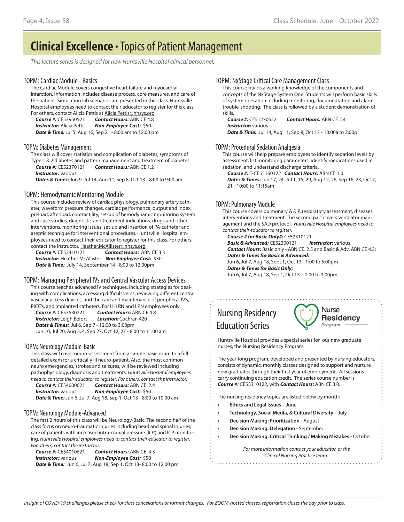### **Clinical Excellence · Topics of Patient Management**

This lecture series is designed for new Huntsville Hospital clinical personnel.

#### TOPM: Cardiac Module - Basics

The Cardiac Module covers congestive heart failure and myocardial infarction. Information includes disease process, core measures, and care of the patient. Simulation lab scenarios are presented in this class. Huntsville Hospital employees need to contact their educator to register for this class. For others, contact Alicia Pettis at Alicia.Pettis@hhsys.org.

**Course #:** CE53950521 **Contact Hours:** ABN CE 4.8 **Instructor:** Alicia Pettis **Non-Employee Cost:** \$50 **Date & Time:** Jul 5, Aug 16, Sep 21 - 8:00 am to 12:00 pm

#### TOPM: Diabetes Management

The class will cover statistics and complication of diabetes, symptoms of Type 1 & 2 diabetes and pattern management and treatment of diabetes. **Course #:** CE52370121 **Contact Hours:** ABN CE 1.2 **Instructor:** various

**Dates & Times:** Jun 9, Jul 14, Aug 11, Sep 8, Oct 13 - 8:00 to 9:00 am

#### TOPM: Hemodynamic Monitoring Module

This course includes review of cardiac physiology, pulmonary artery catheter, waveform pressure changes, cardiac performance, output and index, preload, afterload, contractility, set-up of hemodynamic monitoring system and case studies, diagnostic and treatment indications, drugs and other interventions, monitoring issues, set-up and insertion of PA-catheter and, aseptic technique for interventional procedures. Huntsville Hospital employees need to contact their educator to register for this class. For others, contact the instructor, Heather.McAllister@hhsys.org.

**Course #:** CE52410121 **Contact Hours:** ABN CE 3.3 **Instructor:** Heather McAllister **Non-Employee Cost:** \$30 **Date & Time:** July 14, September 14 - 8:00 to 12:00pm

#### TOPM: Managing Peripheral IVs and Central Vascular Access Devices

This course teaches advanced IV techniques, including strategies for dealing with complications, accessing difficult veins, reviewing different central vascular access devices, and the care and maintenance of peripheral IV's, PICC's, and implanted catheters. For HH RN and LPN employees only.

**Course #:** CE53530221 **Contact Hours:** ABN CE 4.8 **Instructor:** Leigh Befort **Location:** Cochran 420 **Dates & Times:** Jul 6, Sep 7 - 12:00 to 3:00pm Jun 10, Jul 20, Aug 3, 4, Sep 27, Oct 12, 27 - 8:00 to 11:00 am

#### TOPM: Neurology Module-Basic

This class will cover neuro-assessment from a simple basic exam to a full detailed exam for a critically ill neuro-patient. Also, the most common neuro emergencies, strokes and seizures, will be reviewed including pathophysiology, diagnosis and treatments. Huntsville Hospital employees need to contact their educator to register. For others, contact the instructor.

**Course #:** CE54000621 **Contact Hours:** ABN CE 2.4 **Instructor:** various **Non-Employee Cost:** \$50 **Date & Time:** Jun 6, Jul 7, Aug 18, Sep 1, Oct 13 - 8:00 to 10:00 am

#### TOPM: Neurology Module-Advanced

The first 2 hours of this class will be Neurology-Basic. The second half of the class focus on neuro-traumatic injuries including head and spinal injuries, care of patients with increased intra-cranial pressure (ICP) and ICP monitoring. Huntsville Hospital employees need to contact their educator to register. For others, contact the instructor.

**Course #:** CE54010621 **Contact Hours:** ABN CE 4.5 **Instructor:** various **Non-Employee Cost:** \$50 **Date & Time:** Jun 6, Jul 7, Aug 18, Sep 1, Oct 13- 8:00 to 12:00 pm

#### TOPM: NxStage Critical Care Management Class

This course builds a working knowledge of the components and concepts of the NxStage System One. Students will perform basic skills of system operation including monitoring, documentation and alarm trouble-shooting. The class is followed by a student demonstration of skills.

**Course #:** CE51270622 **Contact Hours:** ABN CE 2.4 **Instructor:** various

**Date & Time:** Jul 14, Aug 11, Sep 8, Oct 13 - 10:00a to 2:00p

#### TOPM: Procedural Sedation Analgesia

This course will help prepare employees to identify sedation levels by assessment, list monitoring parameters, identify medications used in sedation, and understand discharge criteria.

**Course #:** E-CE55160122 **Contact Hours:** ABN CE 1.0 **Dates & Times:** Jun 17, 24, Jul 1, 15, 29, Aug 12, 26, Sep 16, 23, Oct 7, 21 - 10:00 to 11:15am

#### TOPM: Pulmonary Module

This course covers pulmonary A & P, respiratory assessment, diseases, interventions and treatment. The second part covers ventilator management and the SAD protocol. Huntsville Hospital employees need to contact their educator to register.

**Course # for Basic Only#:** CE52310121 **Basic & Advanced:** CE52300121 **Instructor:** various **Contact Hours:** Basic only - ABN CE. 2.5 and Basic & Adv. ABN CE 4.3; **Dates & Times for Basic & Advanced:**  Jun 6, Jul 7, Aug 18, Sept 1, Oct 13 - 1:00 to 5:00pm **Dates & Times for Basic Only:**  Jun 6, Jul 7, Aug 18, Sep 1, Oct 13 - 1:00 to 3:00pm

### Nursing Residency Education Series



Huntsville Hospital provides a special series for our new graduate nurses, the Nursing Residency Program.

The year-long program, developed and presented by nursing educators, consists of dynamic, monthly classes designed to support and nurture new graduates through their first year of employment. All sessions carry continuing education credit. The series course number is **Course #:** CE55310122, with **Contact Hours:** ABN CE 3.0.

The nursing residency topics are listed below by month:

- **Ethics and Legal Issues** June
- **Technology, Social Media, & Cultural Diversity**  July
- **Decision Making: Prioritization** August
- **Decision Making: Delegation**  September
- **Decision Making: Critical Thinking / Making Mistakes**  October

For more information contact your educator, or the Clinical Nursing Practice team.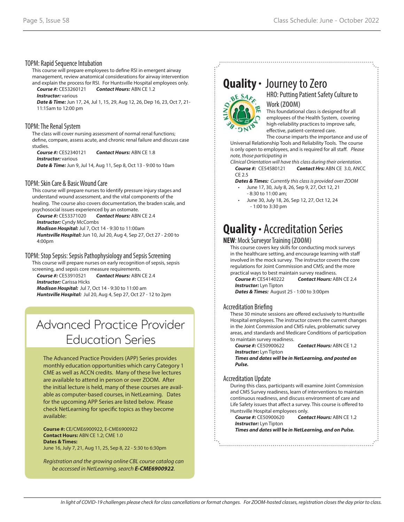#### TOPM: Rapid Sequence Intubation

This course will prepare employees to define RSI in emergent airway management, review anatomical considerations for airway intervention and explain the process for RSI. For Huntsville Hospital employees only. **Course #:** CE53260121 **Contact Hours:** ABN CE 1.2

**Instructor:** various

**Date & Time:** Jun 17, 24, Jul 1, 15, 29, Aug 12, 26, Dep 16, 23, Oct 7, 21- 11:15am to 12:00 pm

#### TOPM: The Renal System

The class will cover nursing assessment of normal renal functions; define, compare, assess acute, and chronic renal failure and discuss case studies.

**Course #:** CE52340121 **Contact Hours:** ABN CE 1.8 **Instructor:** various

**Date & Time:** Jun 9, Jul 14, Aug 11, Sep 8, Oct 13 - 9:00 to 10am

#### TOPM: Skin Care & Basic Wound Care

This course will prepare nurses to identify pressure injury stages and understand wound assessment, and the vital components of the healing. The course also covers documentation, the braden scale, and psychosocial issues experienced by an ostomate.

**Course #:** CE53371020 **Contact Hours:** ABN CE 2.4 **Instructor:** Cyndy McCombs **Madison Hospital:** Jul 7, Oct 14 - 9:30 to 11:00am **Huntsville Hospital:** Jun 10, Jul 20, Aug 4, Sep 27, Oct 27 - 2:00 to 4:00pm

#### TOPM: Stop Sepsis: Sepsis Pathophysiology and Sepsis Screening

This course will prepare nurses on early recognition of sepsis, sepsis screening, and sepsis core measure requirements.<br>Course #: CE53910521 Contact Hours: ABN

**Contact Hours: ABN CE 2.4 Instructor:** Carissa Hicks

**Madison Hospital:** Jul 7, Oct 14 - 9:30 to 11:00 am **Huntsville Hospital:** Jul 20, Aug 4, Sep 27, Oct 27 - 12 to 2pm

### Advanced Practice Provider Education Series

The Advanced Practice Providers (APP) Series provides monthly education opportunities which carry Category 1 CME as well as ACCN credits. Many of these live lectures are available to attend in person or over ZOOM. After the initial lecture is held, many of these courses are available as computer-based courses, in NetLearning. Dates for the upcoming APP Series are listed below. Please check NetLearning for specific topics as they become available:

**Course #:** CE/CME6900922, E-CME6900922 **Contact Hours:** ABN CE 1.2; CME 1.0 **Dates & Times:** June 16, July 7, 21, Aug 11, 25, Sep 8, 22 - 5:30 to 6:30pm

Registration and the growing online CBL course catalog can be accessed in NetLearning, search **E-CME6900922**.

### Quality · Journey to Zero

#### HRO: Putting Patient Safety Culture to Work **(ZOOM)**



This foundational class is designed for all employees of the Health System, covering high-reliability practices to improve safe, effective, patient-centered care.

The course imparts the importance and use of Universal Relationship Tools and Reliability Tools. The course is only open to employees, and is required for all staff. Please note, those participating in

Clinical Orientation will have this class during their orientation. **Course #:** CE54580121 **Contact Hrs:** ABN CE 3.0, ANCC CE 2.5

**Dates & Times:** Currently this class is provided over ZOOM

- June 17, 30, July 8, 26, Sep 9, 27, Oct 12, 21 - 8:30 to 11:00 am;
- June 30, July 18, 26, Sep 12, 27, Oct 12, 24 - 1:00 to 3:30 pm

### **Quality · Accreditation Series**

#### **NEW**: Mock Surveyor Training **(ZOOM)**

This course covers key skills for conducting mock surveys in the healthcare setting, and encourage learning with staff involved in the mock survey. The instructor covers the core regulations for Joint Commission and CMS; and the more practical ways to best maintain survey readiness.

**Course #:** CE54140222 **Contact Hours:** ABN CE 2.4 **Instructor:** Lyn Tipton **Dates & Times:** August 25 - 1:00 to 3:00pm

#### Accreditation Briefing

These 30 minute sessions are offered exclusively to Huntsville Hospital employees. The instructor covers the current changes in the Joint Commission and CMS rules, problematic survey areas, and standards and Medicare Conditions of participation to maintain survey readiness.

**Course #:** CE50900622 **Contact Hours:** ABN CE 1.2 **Instructor:** Lyn Tipton

**Times and dates will be in NetLearning, and posted on Pulse.**

#### Accreditation Update

During this class, participants will examine Joint Commission and CMS Survey readiness, learn of interventions to maintain continuous readiness, and discuss environment of care and Life Safety issues that affect a survey. This course is offered to Huntsville Hospital employees only.

**Course #:** CE50900620 **Contact Hours:** ABN CE 1.2 **Instructor:** Lyn Tipton

**Times and dates will be in NetLearning, and on Pulse.**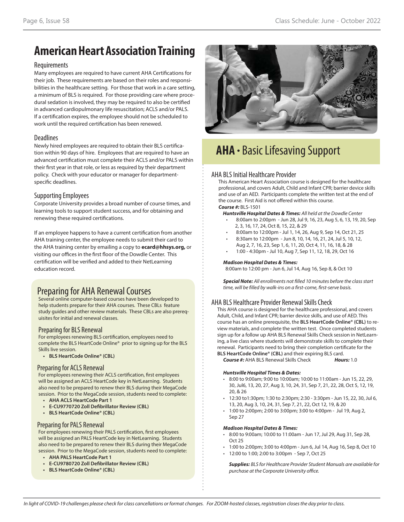### **American Heart Association Training**

#### Requirements

Many employees are required to have current AHA Certifications for their job. These requirements are based on their roles and responsibilities in the healthcare setting. For those that work in a care setting, a minimum of BLS is required. For those providing care where procedural sedation is involved, they may be required to also be certified in advanced cardiopulmonary life resuscitation; ACLS and/or PALS. If a certification expires, the employee should not be scheduled to work until the required certification has been renewed.

#### Deadlines

Newly hired employees are required to obtain their BLS certification within 90 days of hire. Employees that are required to have an advanced certification must complete their ACLS and/or PALS within their first year in that role, or less as required by their department policy. Check with your educator or manager for departmentspecific deadlines.

#### Supporting Employees

Corporate University provides a broad number of course times, and learning tools to support student success, and for obtaining and renewing these required certifications.

If an employee happens to have a current certification from another AHA training center, the employee needs to submit their card to the AHA training center by emailing a copy to **ecard@hhsys.org,** or visiting our offices in the first floor of the Dowdle Center. This certification will be verified and added to their NetLearning education record.

### Preparing for AHA Renewal Courses

Several online computer-based courses have been developed to help students prepare for their AHA courses. These CBLs feature study guides and other review materials. These CBLs are also prerequisites for initial and renewal classes.

#### Preparing for BLS Renewal

For employees renewing BLS certification, employees need to complete the BLS HeartCode Online® prior to signing up for the BLS Skills live session.

**• BLS HeartCode Online® (CBL)**

#### Preparing for ACLS Renewal

For employees renewing their ACLS certification, first employees will be assigned an ACLS HeartCode key in NetLearning. Students also need to be prepared to renew their BLS during their MegaCode session. Prior to the MegaCode session, students need to complete:

- **AHA ACLS HeartCode Part 1**
- **E-CU9770720 Zoll Defibrillator Review (CBL)**
- **BLS HeartCode Online® (CBL)**

#### Preparing for PALS Renewal

For employees renewing their PALS certification, first employees will be assigned an PALS HeartCode key in NetLearning. Students also need to be prepared to renew their BLS during their MegaCode session. Prior to the MegaCode session, students need to complete:

- **AHA PALS HeartCode Part 1**
- **E-CU9780720 Zoll Defibrillator Review (CBL)**
- **BLS HeartCode Online® (CBL)**



### **AHA · Basic Lifesaving Support**

#### AHA BLS Initial Healthcare Provider

This American Heart Association course is designed for the healthcare professional, and covers Adult, Child and Infant CPR; barrier device skills and use of an AED. Participants complete the written test at the end of the course. First Aid is not offered within this course. **Course #:** BLS-1501

**Huntsville Hospital Dates & Times:** All held at the Dowdle Center

- 8:00am to 2:00pm Jun 28, Jul 9, 16, 23, Aug 5, 6, 13, 19, 20, Sep 2, 3, 16, 17, 24, Oct 8, 15, 22, & 29
- 8:00am to 12:00pm Jul 1, 14, 26, Aug 9, Sep 14, Oct 21, 25
- 8:30am to 12:00pm Jun 8, 10, 14, 16, 21, 24, Jul 5, 10, 12, Aug 2, 7, 16, 23, Sep 1, 6, 11, 20, Oct 4, 11, 16, 18, & 28
- 1:00 4:30pm Jul 10, Aug 7, Sep 11, 12, 18, 29, Oct 16

#### **Madison Hospital Dates & Times:**

8:00am to 12:00 pm - Jun 6, Jul 14, Aug 16, Sep 8, & Oct 10

**Special Note:** All enrollments not filled 10 minutes before the class start time, will be filled by walk-ins on a first-come, first-serve basis.

#### AHA BLS Healthcare Provider Renewal Skills Check

This AHA course is designed for the healthcare professional, and covers Adult, Child, and Infant CPR; barrier device skills, and use of AED. This course has an online prerequisite, the **BLS HeartCode Online® (CBL)** to review materials, and complete the written test. Once completed students sign up for a follow up AHA BLS Renewal Skills Check session in NetLearning, a live class where students will demonstrate skills to complete their renewal. Participants need to bring their completion certificate for the **BLS HeartCode Online® (CBL)** and their expiring BLS card.

**Course #:** AHA BLS Renewal Skills Check **Hours:** 1.0

#### **Huntsville Hospital Times & Dates:**

- 8:00 to 9:00am; 9:00 to 10:00am; 10:00 to 11:00am Jun 15, 22, 29, 30, Jul6, 13, 20, 27, Aug 3, 10, 24, 31, Sep 7, 21, 22, 28, Oct 5, 12, 19, 20, & 26
- 12:30 to1:30pm; 1:30 to 2:30pm; 2:30 3:30pm Jun 15, 22, 30, Jul 6, 13, 20, Aug 3, 10, 24, 31, Sep 7, 21, 22, Oct 12, 19, & 20
- 1:00 to 2:00pm; 2:00 to 3:00pm; 3:00 to 4:00pm Jul 19, Aug 2, Sep 27

#### **Madison Hospital Dates & Times:**

- 8:00 to 9:00am; 10:00 to 11:00am Jun 17, Jul 29, Aug 31, Sep 28, Oct 25
- 1:00 to 2:00pm; 3:00 to 4:00pm Jun 6, Jul 14, Aug 16, Sep 8, Oct 10 • 12:00 to 1:00; 2:00 to 3:00pm - Sep 7, Oct 25
	- **Supplies:** BLS for Healthcare Provider Student Manuals are available for purchase at the Corporate University office.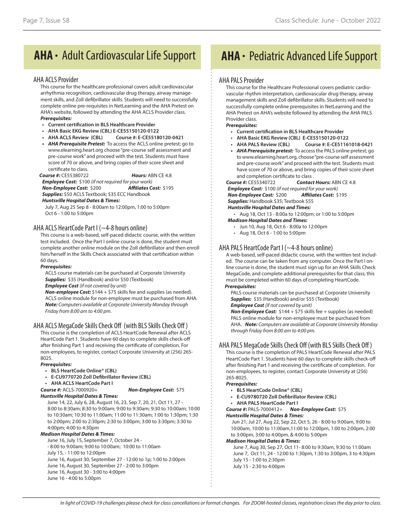### AHA • Adult Cardiovascular Life Support **AHA •** Pediatric Advanced Life Support

#### AHA ACLS Provider

This course for the healthcare professional covers adult cardiovascular arrhythmia recognition, cardiovascular drug therapy, airway management skills, and Zoll defibrillator skills. Students will need to successfully complete online pre-requisites in NetLearning and the AHA Pretest on AHA's website, followed by attending the AHA ACLS Provider class. **Prerequisites:**

- **Current certification in BLS Healthcare Provider**
- **AHA Basic EKG Review (CBL) E-CE55150120-0122**
- **AHA ACLS Review (CBL) Course #: E-CE55180120-0421**
- **AHA Prerequisite Pretest:** To access the ACLS online pretest; go to www.elearning.heart.org choose "pre-course self assessment and pre-course work" and proceed with the test. Students must have score of 70 or above, and bring copies of their score sheet and certificate to class.

**Course #:** CE55380722 **Hours:** ABN CE 4.8 **Employee Cost:** \$100 (if not required for your work) **Non-Employee Cost:** \$200 **Affiliates Cost:** \$195 **Supplies:** \$50 ACLS Textbook; \$35 ECC Handbook

**Huntsville Hospital Dates & Times:**

July 7, Aug 25 Sep 8 - 8:00am to 12:00pm, 1:00 to 5:00pm Oct 6 - 1:00 to 5:00pm

#### AHA ACLS HeartCode Part I (~4-8 hours online)

This course is a web-based, self-paced didactic course, with the written test included. Once the Part I online course is done, the student must complete another online module on the Zoll defibrillator and then enroll him/herself in the Skills Check associated with that certification within 60 days.

#### **Prerequisites:**

ACLS course materials can be purchased at Corporate University **Supplies:** \$35 (Handbook) and/or \$50 (Textbook)

**Employee Cost** (if not covered by unit)

**Non-employee Cost:** \$144 + \$75 skills fee and supplies (as needed). ACLS online module for non-employee must be purchased from AHA. **Note:** Computers available at Corporate University Monday through Friday from 8:00 am to 4:00 pm.

#### AHA ACLS MegaCode Skills Check Off (with BLS Skills Check Off )

This course is the completion of ACLS HeartCode Renewal after ACLS HeartCode Part 1. Students have 60 days to complete skills check-off after finishing Part 1 and receiving the certificate of completion. For non-employees, to register, contact Corporate University at (256) 265- 8025.

#### **Prerequisites:**

- **BLS HeartCode Online® (CBL)**
- **E-CU9770720 Zoll Defibrillator Review (CBL)**
- **AHA ACLS HeartCode Part I**

**Course #:** ACLS-7000920+ **Non-Employee Cost:** \$75

#### **Huntsville Hospital Dates & Times:**

 June 14, 22, July 6, 28, August 16, 23, Sep 7, 20, 21, Oct 11, 27 - 8:00 to 8:30am; 8:30 to 9:00am; 9:00 to 9:30am; 9:30 to 10:00am; 10:00 to 10:30am; 10:30 to 11:00am; 11:00 to 11:30am; 1:00 to 1:30pm; 1:30 to 2:00pm; 2:00 to 2:30pm; 2:30 to 3:00pm; 3:00 to 3:30pm; 3:30 to 4:00pm; 4:00 to 4:30pm

#### **Madison Hospital Dates & Times:**

 June 16, July 15, September 7, October 24 - - 8:00 to 9:00am; 9:00 to 10:00am; 10:00 to 11:00am July 15, - 11:00 to 12:00pm June 16, August 30, September 27 - 12:00 to 1p; 1:00 to 2:00pm June 16, August 30, September 27 - 2:00 to 3:00pm June 16, August 30 - 3:00 to 4:00pm June 16 - 4:00 to 5:00pm

#### AHA PALS Provider

This course for the Healthcare Professional covers pediatric cardiovascular rhythm interpretation, cardiovascular drug therapy, airway management skills and Zoll defibrillator skills. Students will need to successfully complete online prerequisites in NetLearning and the AHA Pretest on AHA's website followed by attending the AHA PALS Provider class.

**Prerequisites:**

- **Current certification in BLS Healthcare Provider**
- **AHA Basic EKG Review (CBL) E-CE55150120-0122**
- **AHA PALS Review (CBL) Course #: E-CE51161018-0421**
- **AHA Prerequisite pretest:** To access the PALS online pretest; go to www.elearning.heart.org, choose "pre-course self assessment and pre-course work" and proceed with the test. Students must have score of 70 or above, and bring copies of their score sheet and completion certificate to class.

**Course #:** CE55340722 **Contact Hours:** ABN CE 4.8 **Employee Cost:** \$100 (if not required for your work) **Non-Employee Cost:** \$200 **Affiliates Cost:** \$195 **Supplies:** Handbook \$35; Textbook \$55 **Huntsville Hospital Dates and Times:**

• Aug 18, Oct 13 - 8:00a to 12:00pm; or 1:00 to 5:00pm **Madison Hospital Dates and Times:**

- Jun 10, Aug 18, Oct 6 8:00a to 12:00pm
- Aug 18, Oct 6 1:00 to 5:00pm

#### AHA PALS HeartCode Part I (~4-8 hours online)

A web-based, self-paced didactic course, with the written test included. The course can be taken from any computer. Once the Part I online course is done, the student must sign up for an AHA Skills Check MegaCode, and complete additional prerequisites for that class; this must be completed within 60 days of completing HeartCode.

#### **Prerequisites:**

PALS course materials can be purchased at Corporate University **Supplies:** \$35 (Handbook) and/or \$55 (Textbook)

**Employee Cost** (if not covered by unit)

**Non-Employee Cost:** \$144 + \$75 skills fee + supplies (as needed) PALS online module for non-employee must be purchased from AHA. **Note:** Computers are available at Corporate University Monday through Friday from 8:00 am to 4:00 pm.

#### AHA PALS MegaCode Skills Check Off (with BLS Skills Check Off )

This course is the completion of PALS HeartCode Renewal after PALS HeartCode Part 1. Students have 60 days to complete skills check-off after finishing Part 1 and receiving the certificate of completion. For non-employees, to register, contact Corporate University at (256) 265-8025.

#### **Prerequisites:**

- **BLS HeartCode Online® (CBL)**
- **E-CU9780720 Zoll Defibrillator Review (CBL)**
- **AHA PALS HeartCode Part I**

#### **Course #:** PALS-7000412+ **Non-Employee Cost:** \$75 **Huntsville Hospital Dates & Times:**

 Jun 21, Jul 27, Aug 22, Sep 22, Oct 5, 26 - 8:00 to 9:00am, 9:00 to 10:00am, 10:00 to 11:00am,11:00 to 12:00pm, 1:00 to 2:00pm, 2:00 to 3:00pm, 3:00 to 4:00pm, & 4:00 to 5:00pm

#### **Madison Hospital Dates & Times:**

June 7, Aug 30, Sep 27, Oct 11- 8:00 to 9:30am, 9:30 to 11:00am June 7, Oct 11, 24 - 12:00 to 1:30pm, 1:30 to 3:00pm, 3 to 4:30pm July 15 - 1:00 to 2:30pm July 15 - 2:30 to 4:00pm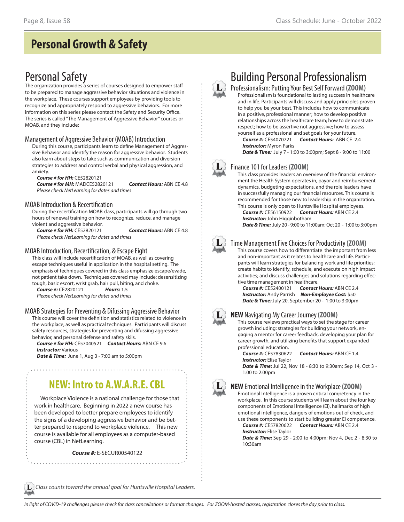### **Personal Growth & Safety**

### Personal Safety

The organization provides a series of courses designed to empower staff to be prepared to manage aggressive behavior situations and violence in the workplace. These courses support employees by providing tools to recognize and appropriately respond to aggressive behaviors. For more information on this series please contact the Safety and Security Office. The series is called "The Management of Aggressive Behavior" courses or MOAB, and they include:

#### Management of Aggressive Behavior (MOAB) Introduction

During this course, participants learn to define Management of Aggressive Behavior and identify the reason for aggressive behavior. Students also learn about steps to take such as communication and diversion strategies to address and control verbal and physical aggression, and anxiety.

**Course # for HH:** CE52820121

**Course # for MH:** MADCE52820121 **Contact Hours:** ABN CE 4.8 Please check NetLearning for dates and times

#### MOAB Introduction & Recertification

During the recertification MOAB class, participants will go through two hours of renewal training on how to recognize, reduce, and manage violent and aggressive behavior.

**Course # for HH:** CE52820121 **Contact Hours:** ABN CE 4.8 Please check NetLearning for dates and times

#### MOAB Introduction, Recertification, & Escape Eight

This class will include recertification of MOAB, as well as covering escape techniques useful in application in the hospital setting. The emphasis of techniques covered in this class emphasize escape/evade, not patient take down. Techniques covered may include: desensitizing tough, basic escort, wrist grab, hair pull, biting, and choke.

**Course #:** CE2820121 **Hours:** 1.5 Please check NetLearning for dates and times

#### MOAB Strategies for Preventing & Difussing Aggressive Behavior

This course will cover the definition and statistics related to violence in the workplace, as well as practical techniques. Participants will discuss safety resources, strategies for preventing and difussing aggressive behavior, and personal defense and safety skils.

**Course # for HH:** CE57040521 **Contact Hours:** ABN CE 9.6 **Instructor:** Various

**Date & Time:** June 1, Aug 3 - 7:00 am to 5:00pm

### **NEW: Intro to A.W.A.R.E. CBL**

 Workplace Violence is a national challenge for those that work in healthcare. Beginning in 2022 a new course has been developed to better prepare employees to identify the signs of a developing aggressive behavior and be better prepared to respond to workplace violence. This new course is available for all employees as a computer-based course (CBL) in NetLearning.

**Course #:** E-SECUR00540122



### Building Personal Professionalism

Professionalism: Putting Your Best Self Forward **(ZOOM)** Professionalism is foundational to lasting success in healthcare and in life. Participants will discuss and apply principles proven to help you be your best. This includes how to communicate in a positive, professional manner; how to develop positive relationships across the healthcare team; how to demonstrate

respect; how to be assertive not aggressive; how to assess yourself as a professional and set goals for your future. **Course #:** CE54070721 **Contact Hours:** ABN CE 2.4

**Instructor:** Myron Parks

**Date & Time:** July 7 - 1:00 to 3:00pm; Sept 8 - 9:00 to 11:00



#### Finance 101 for Leaders **(ZOOM)**

This class provides leaders an overview of the financial environment the Health System operates in, payor and reimbursement dynamics, budgeting expectations, and the role leaders have in successfully managing our financial resources. This course is recommended for those new to leadership in the organization. This course is only open to Huntsville Hospital employees.

**Course #:** CE56150922 **Contact Hours:** ABN CE 2.4 **Instructor:** John Higginbotham

**Date & Time:** July 20 - 9:00 to 11:00am; Oct 20 - 1:00 to 3:00pm

#### Time Management Five Choices for Productivity **(ZOOM)**

This course covers how to differentiate the important from less and non-important as it relates to healthcare and life. Participants will learn strategies for balancing work and life priorities; create habits to identify, schedule, and execute on high impact activities; and discuss challenges and solutions regarding effective time management in healthcare.

**Course #:** CE52400121 **Contact Hours:** ABN CE 2.4 **Instructor:** Andy Parrish **Non-Employee Cost:** \$50 **Date & Time:** July 20, September 20 - 1:00 to 3:00pm

#### **NEW** Navigating My Career Journey **(ZOOM)**

This course reviews practical ways to set the stage for career growth including: strategies for building your network, engaging a mentor for career feedback, developing your plan for career growth, and utilizing benefits that support expanded professional education.

**Course #:** CE57830622 **Contact Hours:** ABN CE 1.4 **Instructor:** Elise Taylor

**Date & Time:** Jul 22, Nov 18 - 8:30 to 9:30am; Sep 14, Oct 3 - 1:00 to 2:00pm

#### **NEW** Emotional Intelligence in the Workplace **(ZOOM)**

Emotional Intelligence is a proven critical competency in the workplace. In this course students will learn about the four key components of Emotional Intelligence (EI), hallmarks of high emotional intelligence, dangers of emotions out of check, and use these components to start building greater EI competence.

**Course #:** CE57820622 **Contact Hours:** ABN CE 2.4 **Instructor:** Elise Taylor

**Date & Time:** Sep 29 - 2:00 to 4:00pm; Nov 4, Dec 2 - 8:30 to 10:30am



L Class counts toward the annual goal for Huntsville Hospital Leaders.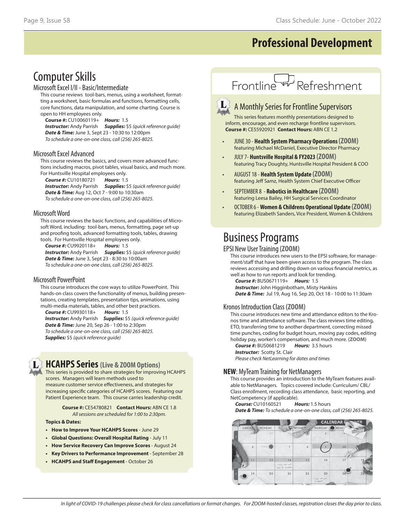### **Professional Development**

### Computer Skills

#### Microsoft Excel I/II - Basic/Intermediate

This course reviews tool-bars, menus, using a worksheet, formatting a worksheet, basic formulas and functions, formatting cells, core functions, data manipulation, and some charting. Course is open to HH employees only.

**Course #:** CU10060119+ **Hours:** 1.5

**Instructor:** Andy Parrish **Supplies:** \$5 (quick reference guide) **Date & Time:** June 3, Sept 23 - 10:30 to 12:00pm To schedule a one-on-one class, call (256) 265-8025.

#### Microsoft Excel Advanced

This course reviews the basics, and covers more advanced functions including macros, pivot tables, visual basics, and much more. For Huntsville Hospital employees only.

**Course #:** CU10180721 **Hours:** 1.5 **Instructor:** Andy Parrish **Supplies:** \$5 (quick reference quide) **Date & Time:** Aug 12, Oct 7 - 9:00 to 10:30am To schedule a one-on-one class, call (256) 265-8025.

#### Microsoft Word

This course reviews the basic functions, and capabilities of Microsoft Word, including: tool-bars, menus, formatting, page set-up and proofing tools, advanced formatting tools, tables, drawing tools. For Huntsville Hospital employees only.

**Course #:** CU9920118+ **Hours:** 1.5 **Instructor:** Andy Parrish **Supplies:** \$5 (quick reference guide) **Date & Time:** June 3, Sept 23 - 8:30 to 10:00am To schedule a one-on-one class, call (256) 265-8025.

#### Microsoft PowerPoint

This course introduces the core ways to utilize PowerPoint. This hands-on class covers the functionality of menus, building presentations, creating templates, presentation tips, animations, using multi-media materials, tables, and other best practices.

**Course #:** CU9930118+ **Hours:** 1.5 **Instructor:** Andy Parrish **Supplies:** \$5 (quick reference quide) **Date & Time:** June 20, Sep 26 - 1:00 to 2:30pm

To schedule a one-on-one class, call (256) 265-8025. **Sup plies:** \$5 (quick reference guide)

#### **HCAHPS Series (Live & ZOOM Options)**

This series is provided to share strategies for improving HCAHPS scores. Managers will learn methods used to measure customer service effectiveness, and strategies for increasing specific categories of HCAHPS scores. Featuring our Patient Experience team. This course carries leadership credit.

> **Course #:** CE54780821 **Contact Hours:** ABN CE 1.8 All sessions are scheduled for 1:00 to 2:30pm.

#### **Topics & Dates:**

- **How to Improve Your HCAHPS Scores**  June 29
- **Global Questions: Overall Hospital Rating** July 11
- **How Service Recovery Can Improve Scores**  August 24
- **Key Drivers to Performance Improvement**  September 28
- **HCAHPS and Staff Engagement**  October 26

# Frontline Refreshment

### **L** A Monthly Series for Frontline Supervisors

 This series features monthly presentations designed to inform, encourage, and even recharge frontline supervisors. **Course #:** CE55920921 **Contact Hours:** ABN CE 1.2

- JUNE 30 **Health System Pharmacy Operations (ZOOM)** featuring Michael McDaniel, Executive Director Pharmacy
- JULY 7- **Huntsville Hospital & FY2023 (ZOOM)** featuring Tracy Doughty, Huntsville Hospital President & COO
- AUGUST 18 **Health System Update (ZOOM)** featuring Jeff Samz, Health System Chief Executive Officer
- SEPTEMBER 8 **Robotics in Healthcare (ZOOM)** featuring Leesa Bailey, HH Surgical Services Coordinator
- OCTOBER 6 **Women & Childrens Operational Update (ZOOM)** featuring Elizabeth Sanders, Vice President, Women & Childrens

### Business Programs

#### EPSI New User Training **(ZOOM)**

This course introduces new users to the EPSI software, for management/staff that have been given access to the program. The class reviews accessing and drilling down on various financial metrics, as well as how to run reports and look for trending.

**Course #:** BUS0671119+ **Hours:** 1.5

**Instructor:** John Higginbotham, Misty Hankins **Date & Time:** Jul 19, Aug 16, Sep 20, Oct 18 - 10:00 to 11:30am

#### Kronos Introduction Class **(ZOOM)**

This course introduces new time and attendance editors to the Kronos time and attendance software. The class reviews time editing, ETO, transferring time to another department, correcting missed time punches, coding for budget hours, moving pay codes, editing holiday pay, worker's compensation, and much more. **(ZOOM)** 

**Course #:** BUS0681219 **Hours:** 3.5 hours **Instructor:** Scotty St. Clair

Please check NetLearning for dates and times

#### **NEW**: MyTeam Training for NetManagers

This course provides an introduction to the MyTeam features available to NetManagers. Topics covered include: Curriculum/ CBL/ Class enrollment, recording class attendance, basic reporting, and NetCompetency (if applicable).

**Course:** CU10160521 **Hours:** 1.5 hours **Date & Time:** To schedule a one-on-one class, call (256) 265-8025.

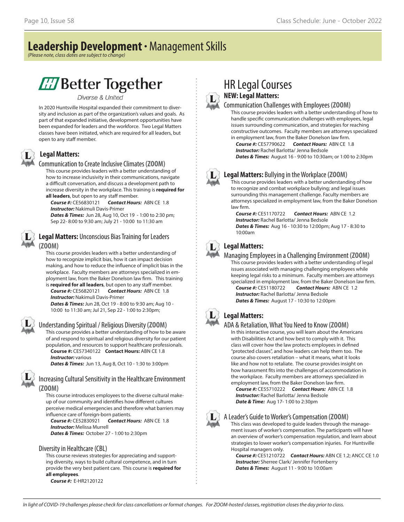## Leadership Development • Management Skills

# **III** Better Together

Diverse & United

In 2020 Huntsville Hospital expanded their commitment to diversity and inclusion as part of the organization's values and goals. As part of that expanded initiative, development opportunities have been expanded for leaders and the workforce. Two Legal Matters classes have been initiated, which are required for all leaders, but open to any staff member.



#### **Legal Matters:**

Communication to Create Inclusive Climates **(ZOOM)** This course provides leaders with a better understanding of how to increase inclusivity in their communications, navigate a difficult conversation, and discuss a development path to increase diversity in the workplace. This training is **required for all leaders**, but open to any staff member.

**Course #:** CE56830121 **Contact Hours:** ABN CE 1.8 **Instructor:** Nakimuli Davis-Primer

**Dates & Times:** Jun 28, Aug 10, Oct 19 - 1:00 to 2:30 pm; Sep 22- 8:00 to 9:30 am; July 21 - 10:00 to 11:30 am



#### **Legal Matters:** Unconscious Bias Training for Leaders **(ZOOM)**

This course provides leaders with a better understanding of how to recognize implicit bias, how it can impact decision making, and how to reduce the influence of implicit bias in the workplace. Faculty members are attorneys specialized in employment law, from the Baker Donelson law firm. This training

is **required for all leaders**, but open to any staff member. **Course #:** CE56820121 **Contact Hours:** ABN CE 1.8 **Instructor:** Nakimuli Davis-Primer **Dates & Times:** Jun 28, Oct 19 - 8:00 to 9:30 am; Aug 10 - 10:00 to 11:30 am; Jul 21, Sep 22 - 1:00 to 2:30pm;



#### Understanding Spiritual / Religious Diversity **(ZOOM)**

This course provides a better understanding of how to be aware of and respond to spiritual and religious diversity for our patient population, and resources to support healthcare professionals. **Course #:** CE57340122 **Contact Hours:** ABN CE 1.8 **Instructor:** various

**Dates & Times:** Jun 13, Aug 8, Oct 10 - 1:30 to 3:00pm

#### Increasing Cultural Sensitivity in the Healthcare Environment **(ZOOM)**

This course introduces employees to the diverse cultural makeup of our community and identifies how different cultures perceive medical emergencies and therefore what barriers may influence care of foreign-born patients.

**Course #:** CE52830921 **Contact Hours:** ABN CE 1.8 **Instructor:** Melissa Murrell **Dates & Times:** October 27 - 1:00 to 2:30pm

#### Diversity in Healthcare (CBL)

This course reviews strategies for appreciating and supporting diversity, ways to build cultural competence, and in turn provide the very best patient care. This course is **required for all employees**.

**Course #:** E-HR2120122

### HR Legal Courses **NEW: Legal Matters:**

#### Communication Challenges with Employees **(ZOOM)**

This course provides leaders with a better understanding of how to handle specific communication challenges with employees, legal issues surrounding communication, and strategies for reaching constructive outcomes. Faculty members are attorneys specialized in employment law, from the Baker Donelson law firm.

**Course #:** CE57790622 **Contact Hours:** ABN CE 1.8 **Instructor:** Rachel Barlotta/ Jenna Bedsole **Dates & Times:** August 16 - 9:00 to 10:30am; or 1:00 to 2:30pm

#### **Legal Matters:** Bullying in the Workplace **(ZOOM)**

This course provides leaders with a better understanding of how to recognize and combat workplace bullying; and legal issues surrounding this management challenge. Faculty members are attorneys specialized in employment law, from the Baker Donelson law firm.

**Course #:** CE51170722 **Contact Hours:** ABN CE 1.2 **Instructor:** Rachel Barlotta/ Jenna Bedsole **Dates & Times:** Aug 16 - 10:30 to 12:00pm; Aug 17 - 8:30 to 10:00am

#### **Legal Matters:**

#### Managing Employees in a Challenging Environment **(ZOOM)**

This course provides leaders with a better understanding of legal issues associated with managing challenging employees while keeping legal risks to a minimum. Faculty members are attorneys specialized in employment law, from the Baker Donelson law firm. **Course #:** CE51180722 **Contact Hours:** ABN CE 1.2 **Instructor:** Rachel Barlotta/ Jenna Bedsole **Dates & Times:** August 17 - 10:30 to 12:00pm

#### **Legal Matters:**

ADA & Retaliation, What You Need to Know **(ZOOM)**

In this interactive course, you will learn about the Americans with Disabilities Act and how best to comply with it. This class will cover how the law protects employees in defined "protected classes", and how leaders can help them too. The course also covers retaliation – what it means, what it looks like and how not to retaliate. The course provides insight on how harassment fits into the challenges of accommodation in the workplace. Faculty members are attorneys specialized in employment law, from the Baker Donelson law firm.

**Course #:** CE55710222 **Contact Hours:** ABN CE 1.8 **Instructor:** Rachel Barlotta/ Jenna Bedsole **Date & Time:** Aug 17- 1:00 to 2:30pm

#### A Leader's Guide to Worker's Compensation **(ZOOM)**

This class was developed to guide leaders through the management issues of worker's compensation. The participants will have an overview of worker's compensation regulation, and learn about strategies to lower worker's compensation injuries. For Huntsville Hospital managers only.

**Course #:** CE51210722 **Contact Hours:** ABN CE 1.2; ANCC CE 1.0 **Instructor:** Sherree Clark/ Jennifer Fortenberry **Dates & Times:** August 11 - 9:00 to 10:00am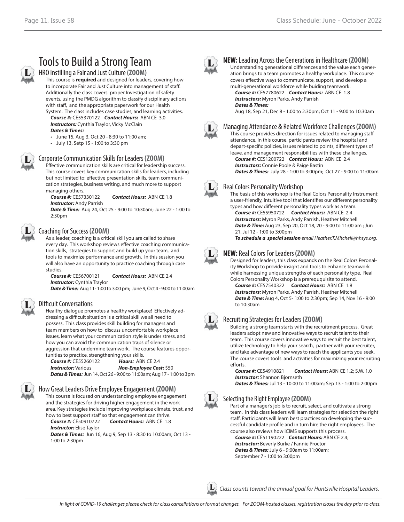

### Tools to Build a Strong Team

HRO Instilling a Fair and Just Culture **(ZOOM)**

This course is **required** and designed for leaders, covering how to incorporate Fair and Just Culture into management of staff. Additionally the class covers proper Investigation of safety events, using the PMDG algorithm to classify disciplinary actions with staff, and the appropriate paperwork for our Health System. The class includes case studies, and learning activities.

**Course #:** CE55370122 **Contact Hours:** ABN CE 3.0 **Instructors:** Cynthia Traylor, Vicky McClain **Dates & Times:** 

- June 15, Aug 3, Oct 20 8:30 to 11:00 am;
- July 13, Setp 15 1:00 to 3:30 pm



#### Corporate Communication Skills for Leaders **(ZOOM)**

Effective communication skills are critical for leadership success. This course covers key communication skills for leaders, including but not limited to: effective presentation skills, team communication strategies, business writing, and much more to support managing others.

**Course #:** CE57330122 **Contact Hours:** ABN CE 1.8 **Instructor:** Andy Parrish

**Date & Time:** Aug 24, Oct 25 - 9:00 to 10:30am; June 22 - 1:00 to 2:30pm

#### Coaching for Success **(ZOOM)**

As a leader, coaching is a critical skill you are called to share every day. This workshop reviews effective coaching communication skills, strategies to support and build up your team, and tools to maximize performance and growth. In this session you will also have an opportunity to practice coaching through case studies.

**Course #:** CE56700121 **Contact Hours:** ABN CE 2.4 **Instructor:** Cynthia Traylor

**Date & Time:** Aug 11- 1:00 to 3:00 pm; June 9, Oct 4 - 9:00 to 11:00am

#### Difficult Conversations



Healthy dialogue promotes a healthy workplace! Effectively addressing a difficult situation is a critical skill we all need to possess. This class provides skill building for managers and team members on how to discuss uncomfortable workplace issues, learn what your communication style is under stress, and how you can avoid the communication traps of silence or aggression that undermine teamwork. The course features opportunities to practice, strengthening your skills.

**Course #:** CE55260122 **Hours:** ABN CE 2.4 **Instructor:** Various **Non-Employee Cost:** \$50 **Dates & Times:** Jun 14, Oct 26 - 9:00 to 11:00am; Aug 17 - 1:00 to 3pm



#### How Great Leaders Drive Employee Engagement **(ZOOM)**

This course is focused on understanding employee engagement and the strategies for driving higher engagement in the work area. Key strategies include improving workplace climate, trust, and how to best support staff so that engagement can thrive.

**Course #:** CE50910722 **Contact Hours:** ABN CE 1.8 **Instructor:** Elise Taylor

**Dates & Times:** Jun 16, Aug 9, Sep 13 - 8:30 to 10:00am; Oct 13 - 1:00 to 2:30pm



#### **NEW:** Leading Across the Generations in Healthcare **(ZOOM)**

Understanding generational differences and the value each generation brings to a team promotes a healthy workplace. This course covers effective ways to communicate, support, and develop a multi-generational workforce while buiding teamwork.

**Course #:** CE57780622 **Contact Hours:** ABN CE 1.8 **Instructors:** Myron Parks, Andy Parrish **Dates & Times:** 

Aug 18, Sep 21, Dec 8 - 1:00 to 2:30pm; Oct 11 - 9:00 to 10:30am



#### Managing Attendance & Related Workforce Challenges **(ZOOM)**

This course provides direction for issues related to managing staff attendance. In this course, participants review the hospital and depart-specific policies, issues related to points, different types of leave, and management responsibilities with these challenges. **Course #:** CE51200722 **Contact Hours:** ABN CE 2.4 **Instructors:** Connie Poole & Paige Bastin

**Dates & Times:** July 28 - 1:00 to 3:00pm; Oct 27 - 9:00 to 11:00am

#### Real Colors Personality Workshop

The basis of this workshop is the Real Colors Personality Instrument: a user-friendly, intuitive tool that identifies our different personality types and how different personality types work as a team. **Course #:** CE55950722 **Contact Hours:** ABN CE 2.4

**Instructors:** Myron Parks, Andy Parrish, Heather Mitchell **Date & Time:** Aug 23, Sep 20, Oct 18, 20 - 9:00 to 11:00 am ; Jun 21, Jul 12 - 1:00 to 3:00pm

**To schedule a special session** email Heather.T.Mitchell@hhsys.org.

#### **NEW:** Real Colors For Leaders **(ZOOM)**

Designed for leaders, this class expands on the Real Colors Peronality Workshop to provide insight and tools to enhance teamwork while harnessing unique strengths of each personality type. Real Colors Personality Workshop is a prereququisite to attend.

**Course #:** CE57540322 **Contact Hours:** ABN CE 1.8 **Instructors:** Myron Parks, Andy Parrish, Heather Mitchell **Date & Time:** Aug 4, Oct 5- 1:00 to 2:30pm; Sep 14, Nov 16 - 9:00 to 10:30am

#### Recruiting Strategies for Leaders **(ZOOM)**

Building a strong team starts with the recruitment process. Great leaders adopt new and innovative ways to recruit talent to their team. This course covers innovative ways to recruit the best talent, utilize technology to help your search, partner with your recruiter, and take advantage of new ways to reach the applicants you seek. The course covers tools and activities for maximizing your recruiting efforts

**Course #:** CE54910821 **Contact Hours:** ABN CE 1.2; S.W. 1.0 **Instructor:** Shannon Biornseth

**Dates & Times:** Jul 13 - 10:00 to 11:00am; Sep 13 - 1:00 to 2:00pm

Selecting the Right Employee **(ZOOM)**

Part of a manager's job is to recruit, select, and cultivate a strong team. In this class leaders will learn strategies for selection the right staff. Participants will learn best practices on developing the successful candidate profile and in turn hire the right employees. The course also reviews how iCIMS supports this process.

**Course #:** CE51190222 **Contact Hours:** ABN CE 2.4; **Instructor:** Beverly Burke / Fannie Proctor **Dates & Times:** July 6 - 9:00am to 11:00am; September 7 - 1:00 to 3:00pm

Class counts toward the annual goal for Huntsville Hospital Leaders.